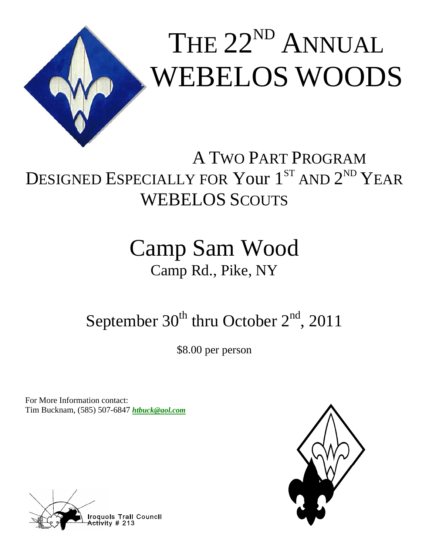

# A TWO PART PROGRAM DESIGNED ESPECIALLY FOR Your 1<sup>ST</sup> AND 2<sup>ND</sup> YEAR WEBELOS SCOUTS

# Camp Sam Wood Camp Rd., Pike, NY

# September  $30^{th}$  thru October  $2^{nd}$ , 2011

\$8.00 per person

For More Information contact: Tim Bucknam, (585) 507-6847 *htbuck@aol.com* 



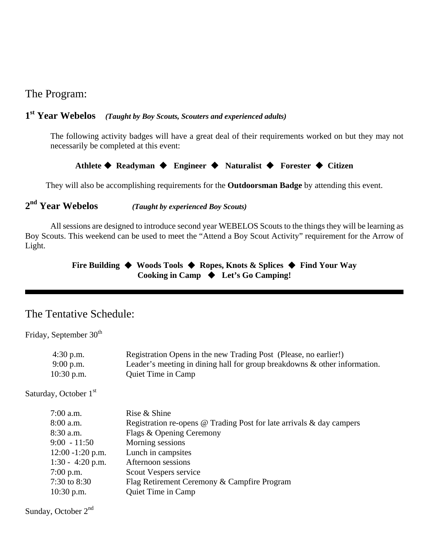## The Program:

#### **1st Year Webelos** *(Taught by Boy Scouts, Scouters and experienced adults)*

The following activity badges will have a great deal of their requirements worked on but they may not necessarily be completed at this event:

**Athlete Readyman Engineer Naturalist Forester Citizen** 

They will also be accomplishing requirements for the **Outdoorsman Badge** by attending this event.

**2nd Year Webelos** *(Taught by experienced Boy Scouts)*

All sessions are designed to introduce second year WEBELOS Scouts to the things they will be learning as Boy Scouts. This weekend can be used to meet the "Attend a Boy Scout Activity" requirement for the Arrow of Light.

### **Fire Building Woods Tools Ropes, Knots & Splices Find Your Way Cooking in Camp Let's Go Camping!**

### The Tentative Schedule:

Friday, September 30<sup>th</sup>

| $4:30$ p.m.             | Registration Opens in the new Trading Post (Please, no earlier!)          |  |
|-------------------------|---------------------------------------------------------------------------|--|
| $9:00$ p.m.             | Leader's meeting in dining hall for group breakdowns & other information. |  |
| $10:30$ p.m.            | <b>Quiet Time in Camp</b>                                                 |  |
| Saturday, October $1st$ |                                                                           |  |
| $7:00$ a.m.             | Rise & Shine                                                              |  |
| $8:00$ a.m.             | Registration re-opens @ Trading Post for late arrivals & day campers      |  |
| $8:30$ a.m.             | Flags & Opening Ceremony                                                  |  |
| $9:00 - 11:50$          | Morning sessions                                                          |  |
| $12:00 - 1:20$ p.m.     | Lunch in campsites                                                        |  |
| $1:30 - 4:20$ p.m.      | Afternoon sessions                                                        |  |
| $7:00$ p.m.             | Scout Vespers service                                                     |  |
| 7:30 to 8:30            | Flag Retirement Ceremony & Campfire Program                               |  |
| $10:30$ p.m.            | Quiet Time in Camp                                                        |  |
|                         |                                                                           |  |

Sunday, October 2<sup>nd</sup>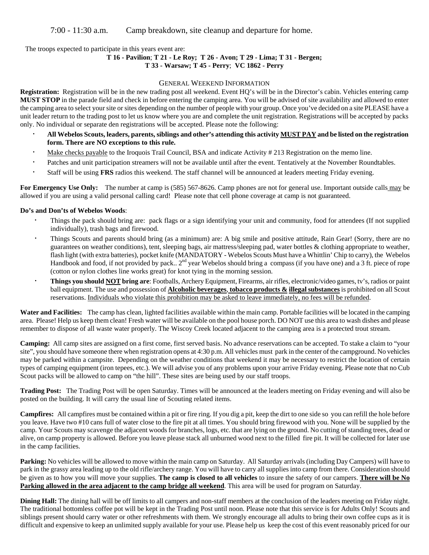The troops expected to participate in this years event are:

## **T 16 - Pavilion**; **T 21 - Le Roy; T 26 - Avon; T 29 - Lima; T 31 - Bergen;**

#### **T 33 - Warsaw; T 45 - Perry**; **VC 1862 - Perry**

#### GENERAL WEEKEND INFORMATION

**Registration:** Registration will be in the new trading post all weekend. Event HQ's will be in the Director's cabin. Vehicles entering camp **MUST STOP** in the parade field and check in before entering the camping area. You will be advised of site availability and allowed to enter the camping area to select your site or sites depending on the number of people with your group. Once you've decided on a site PLEASE have a unit leader return to the trading post to let us know where you are and complete the unit registration. Registrations will be accepted by packs only. No individual or separate den registrations will be accepted. Please note the following:

- All Webelos Scouts, leaders, parents, siblings and other's attending this activity **MUST PAY** and be listed on the registration **form. There are NO exceptions to this rule.**
- · Make checks payable to the Iroquois Trail Council, BSA and indicate Activity # 213 Registration on the memo line.
- · Patches and unit participation streamers will not be available until after the event. Tentatively at the November Roundtables.
- · Staff will be using **FRS** radios this weekend. The staff channel will be announced at leaders meeting Friday evening.

For Emergency Use Only: The number at camp is (585) 567-8626. Camp phones are not for general use. Important outside calls may be allowed if you are using a valid personal calling card! Please note that cell phone coverage at camp is not guaranteed.

#### **Do's and Don'ts of Webelos Woods**:

- · Things the pack should bring are: pack flags or a sign identifying your unit and community, food for attendees (If not supplied individually), trash bags and firewood.
- · Things Scouts and parents should bring (as a minimum) are: A big smile and positive attitude, Rain Gear! (Sorry, there are no guarantees on weather conditions), tent, sleeping bags, air mattress/sleeping pad, water bottles & clothing appropriate to weather, flash light (with extra batteries), pocket knife (MANDATORY - Webelos Scouts Must have a Whittlin' Chip to carry), the Webelos Handbook and food, if not provided by pack.. 2<sup>nd</sup> year Webelos should bring a compass (if you have one) and a 3 ft. piece of rope (cotton or nylon clothes line works great) for knot tying in the morning session.
- · **Things you should NOT bring are**: Footballs, Archery Equipment, Firearms, air rifles, electronic/video games, tv's, radios or paint ball equipment. The use and possession of **Alcoholic beverages**, **tobacco products & illegal substances** is prohibited on all Scout reservations. Individuals who violate this prohibition may be asked to leave immediately, no fees will be refunded.

**Water and Facilities:** The camp has clean, lighted facilities available within the main camp. Portable facilities will be located in the camping area. Please! Help us keep them clean! Fresh water will be available on the pool house porch. DO NOT use this area to wash dishes and please remember to dispose of all waste water properly. The Wiscoy Creek located adjacent to the camping area is a protected trout stream.

**Camping:** All camp sites are assigned on a first come, first served basis. No advance reservations can be accepted. To stake a claim to "your site", you should have someone there when registration opens at 4:30 p.m. All vehicles must park in the center of the campground. No vehicles may be parked within a campsite. Depending on the weather conditions that weekend it may be necessary to restrict the location of certain types of camping equipment (iron tepees, etc.). We will advise you of any problems upon your arrive Friday evening. Please note that no Cub Scout packs will be allowed to camp on "the hill". These sites are being used by our staff troops.

**Trading Post:** The Trading Post will be open Saturday. Times will be announced at the leaders meeting on Friday evening and will also be posted on the building. It will carry the usual line of Scouting related items.

**Campfires:** All campfires must be contained within a pit or fire ring. If you dig a pit, keep the dirt to one side so you can refill the hole before you leave. Have two #10 cans full of water close to the fire pit at all times. You should bring firewood with you. None will be supplied by the camp. Your Scouts may scavenge the adjacent woods for branches, logs, etc. that are lying on the ground. No cutting of standing trees, dead or alive, on camp property is allowed. Before you leave please stack all unburned wood next to the filled fire pit. It will be collected for later use in the camp facilities.

**Parking:** No vehicles will be allowed to move within the main camp on Saturday. All Saturday arrivals (including Day Campers) will have to park in the grassy area leading up to the old rifle/archery range. You will have to carry all supplies into camp from there. Consideration should be given as to how you will move your supplies. **The camp is closed to all vehicles** to insure the safety of our campers. **There will be No Parking allowed in the area adjacent to the camp bridge all weekend**. This area will be used for program on Saturday.

**Dining Hall:** The dining hall will be off limits to all campers and non-staff members at the conclusion of the leaders meeting on Friday night. The traditional bottomless coffee pot will be kept in the Trading Post until noon. Please note that this service is for Adults Only! Scouts and siblings present should carry water or other refreshments with them. We strongly encourage all adults to bring their own coffee cups as it is difficult and expensive to keep an unlimited supply available for your use. Please help us keep the cost of this event reasonably priced for our